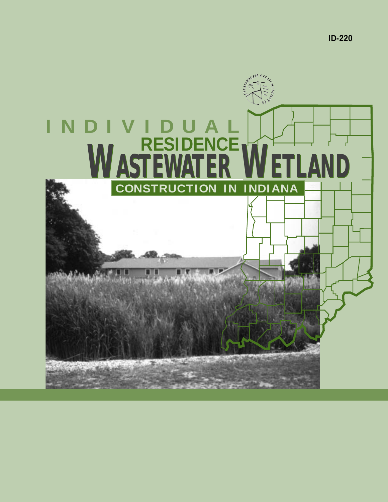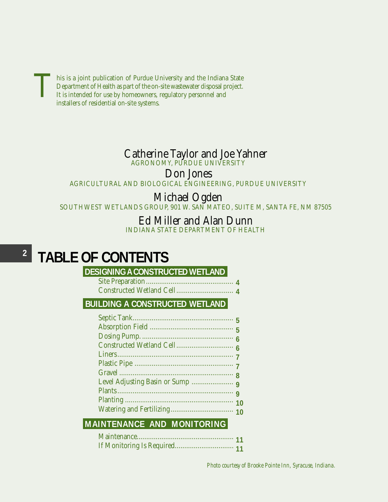**This is a joint publication of Purdue University and the Indiana State** Department of Health as part of the on-site wastewater disposal project. It is intended for use by homeowners, regulatory personnel and installers of residential on-site systems.

## Catherine Taylor and Joe Yahner

AGRONOMY, PURDUE UNIVERSITY

Don Jones

AGRICULTURAL AND BIOLOGICAL ENGINEERING, PURDUE UNIVERSITY

## Michael Ogden

SOUTHWEST WETLANDS GROUP, 901 W. SAN MATEO, SUITE M, SANTA FE, NM 87505

### Ed Miller and Alan Dunn

INDIANA STATE DEPARTMENT OF HEALTH

#### **2 TABLE OF CONTENTS**

### **DESIGNING A CONSTRUCTED WETLAND**

#### **BUILDING A CONSTRUCTED WETLAND**

### **MAINTENANCE AND MONITORING**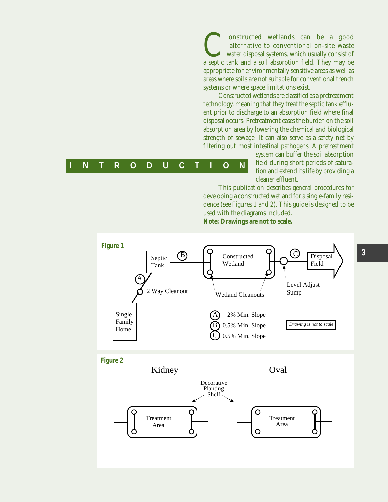Constructed wetlands can be a good alternative to conventional on-site waste waste water disposal systems, which usually consist of a septic tank and a soil absorption field. They may be alternative to conventional on-site waste water disposal systems, which usually consist of appropriate for environmentally sensitive areas as well as areas where soils are not suitable for conventional trench systems or where space limitations exist.

Constructed wetlands are classified as a pretreatment technology, meaning that they treat the septic tank effluent prior to discharge to an absorption field where final disposal occurs. Pretreatment eases the burden on the soil absorption area by lowering the chemical and biological strength of sewage. It can also serve as a safety net by filtering out most intestinal pathogens. A pretreatment

|  |  |  | IN T R O D U C T I O N |  |  |  |
|--|--|--|------------------------|--|--|--|
|  |  |  |                        |  |  |  |

system can buffer the soil absorption field during short periods of saturation and extend its life by providing a cleaner effluent.

This publication describes general procedures for developing a constructed wetland for a single-family residence (see Figures 1 and 2). This guide is designed to be used with the diagrams included.

**Note: Drawings are not to scale.**

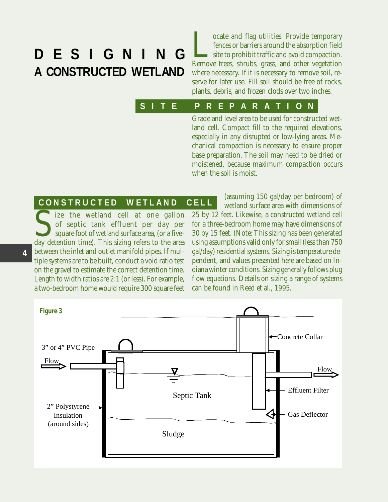# **DESIGNING A CONSTRUCTED WETLAND**

**Locate and flag utilities. Provide temporary**<br>fences or barriers around the absorption field<br>site to prohibit traffic and avoid compaction.<br>Remove trees, shrubs, grass, and other vegetation fences or barriers around the absorption field site to prohibit traffic and avoid compaction. where necessary. If it is necessary to remove soil, reserve for later use. Fill soil should be free of rocks, plants, debris, and frozen clods over two inches.

#### **SITE O PREPARATION**

Grade and level area to be used for constructed wetland cell. Compact fill to the required elevations, especially in any disrupted or low-lying areas. Mechanical compaction is necessary to ensure proper base preparation. The soil may need to be dried or moistened, because maximum compaction occurs when the soil is moist.

#### **CONSTRUCTED O WETLAND O CELL**

Size the wetland cell at one gallon<br>of septic tank effluent per day per<br>square foot of wetland surface area, (or a five-<br>day detention time). This sizing refers to the area of septic tank effluent per day per square foot of wetland surface area, (or a fivebetween the inlet and outlet manifold pipes. If multiple systems are to be built, conduct a void ratio test on the gravel to estimate the correct detention time. Length to width ratios are 2:1 (or less). For example, a two-bedroom home would require 300 square feet

(assuming 150 gal/day per bedroom) of wetland surface area with dimensions of 25 by 12 feet. Likewise, a constructed wetland cell for a three-bedroom home may have dimensions of 30 by 15 feet. (Note: This sizing has been generated using assumptions valid only for small (less than 750 gal/day) residential systems. Sizing is temperature dependent, and values presented here are based on Indiana winter conditions. Sizing generally follows plug flow equations. Details on sizing a range of systems can be found in Reed et al., 1995.

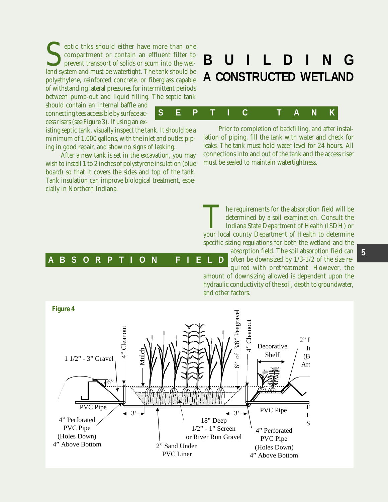Septic that should either have more than one compartment or contain an effluent filter to prevent transport of solids or scum into the wet-<br>land system and must be watertight. The tank should be compartment or contain an effluent filter to prevent transport of solids or scum into the wetland system and must be watertight. The tank should be polyethylene, reinforced concrete, or fiberglass capable of withstanding lateral pressures for intermittent periods between pump-out and liquid filling. The septic tank

should contain an internal baffle and connecting tees accessible by surface access risers (see Figure 3). If using an ex-

isting septic tank, visually inspect the tank. It should be a minimum of 1,000 gallons, with the inlet and outlet piping in good repair, and show no signs of leaking.

After a new tank is set in the excavation, you may wish to install 1 to 2 inches of polystyrene insulation (blue board) so that it covers the sides and top of the tank. Tank insulation can improve biological treatment, especially in Northern Indiana.

## **A CONSTRUCTED WETLAND BUILDING**



Prior to completion of backfilling, and after installation of piping, fill the tank with water and check for leaks. The tank must hold water level for 24 hours. All connections into and out of the tank and the access riser must be sealed to maintain watertightness.

The requirements for the absorption field will be determined by a soil examination. Consult the Indiana State Department of Health (ISDH) or your local county Department of Health to determine determined by a soil examination. Consult the Indiana State Department of Health (ISDH) or specific sizing regulations for both the wetland and the

#### absorption field. The soil absorption field can often be downsized by 1/3-1/2 of the size required with pretreatment. However, the amount of downsizing allowed is dependent upon the hydraulic conductivity of the soil, depth to groundwater, **ABSORPTION O FIELD**

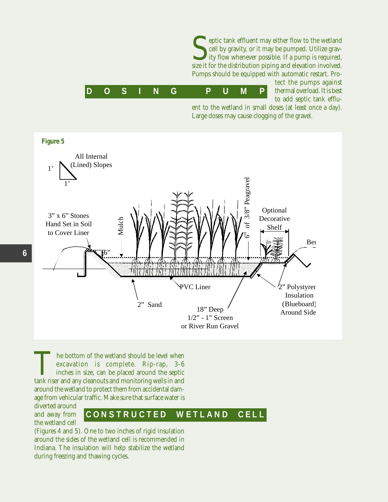eptic tank effluent may either flow to the wetland cell by gravity, or it may be pumped. Utilize gravity flow whenever possible. If a pump is required, size it for the distribution piping and elevation involved. Pumps should be equipped with automatic restart. Pro-



tect the pumps against thermal overload. It is best to add septic tank efflu-

ent to the wetland in small doses (at least once a day). Large doses may cause clogging of the gravel.



The bottom of the wetland should be level when<br>excavation is complete. Rip-rap, 3-6<br>inches in size, can be placed around the septic<br>tank riser and any cleanouts and monitoring wells in and excavation is complete. Rip-rap, 3-6 inches in size, can be placed around the septic around the wetland to protect them from accidental damage from vehicular traffic. Make sure that surface water is

diverted around and away from the wetland cell

## **CONSTRUCTED O WETLAND O CELL**

(Figures 4 and 5). One to two inches of rigid insulation around the sides of the wetland cell is recommended in Indiana. The insulation will help stabilize the wetland during freezing and thawing cycles.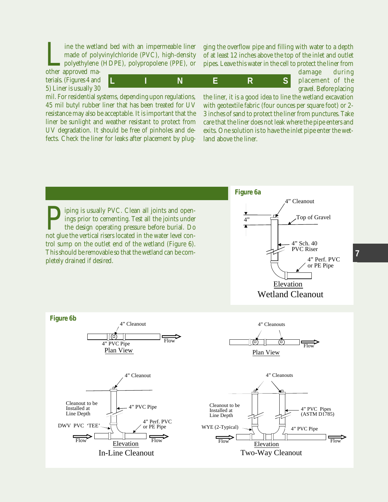Ine the wetland bed with an impermeable liner made of polyvinylchloride (PVC), high-density polyethylene (HDPE), polypropolene (PPE), or other approved mamade of polyvinylchloride (PVC), high-density polyethylene (HDPE), polypropolene (PPE), or

other approved materials. (Figures 4 and 5) Liner is usually 30

**LINERS**

ging the overflow pipe and filling with water to a depth of at least 12 inches above the top of the inlet and outlet pipes. Leave this water in the cell to protect the liner from

damage during placement of the gravel. Before placing

mil. For residential systems, depending upon regulations, 45 mil butyl rubber liner that has been treated for UV resistance may also be acceptable. It is important that the liner be sunlight and weather resistant to protect from UV degradation. It should be free of pinholes and defects. Check the liner for leaks after placement by plug-

the liner, it is a good idea to line the wetland excavation with geotextile fabric (four ounces per square foot) or 2- 3 inches of sand to protect the liner from punctures. Take care that the liner does not leak where the pipe enters and exits. One solution is to have the inlet pipe enter the wetland above the liner.

**Physical Equilibrius:** PVC. Clean all joints and open-ings prior to cementing. Test all the joints under the design operating pressure before burial. Do not glue the vertical risers located in the water level conings prior to cementing. Test all the joints under the design operating pressure before burial. Do trol sump on the outlet end of the wetland (Figure 6). This should be removable so that the wetland can be completely drained if desired.



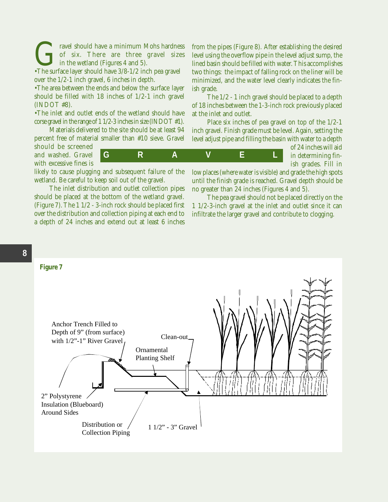Gravel should have a minimum Mohs hardness<br>
of six. There are three gravel sizes<br>
•The surface layer should have 3/8-1/2 inch pea gravel of six. There are three gravel sizes in the wetland (Figures 4 and 5).

over the 1/2-1 inch gravel, 6 inches in depth.

•The area between the ends and below the surface layer should be filled with 18 inches of 1/2-1 inch gravel (INDOT #8).

•The inlet and outlet ends of the wetland should have corse gravel in the range of 1 1/2-3 inches in size (INDOT #1).

Materials delivered to the site should be at least 94 percent free of material smaller than #10 sieve. Gravel

should be screened and washed. Gravel with excessive fines is

**GRAVEL**

likely to cause plugging and subsequent failure of the wetland. Be careful to keep soil out of the gravel.

The inlet distribution and outlet collection pipes should be placed at the bottom of the wetland gravel. (Figure 7). The 1 1/2 - 3-inch rock should be placed first over the distribution and collection piping at each end to a depth of 24 inches and extend out at least 6 inches

from the pipes (Figure 8). After establishing the desired level using the overflow pipe in the level adjust sump, the lined basin should be filled with water. This accomplishes two things: the impact of falling rock on the liner will be minimized, and the water level clearly indicates the finish grade.

The 1/2 - 1 inch gravel should be placed to a depth of 18 inches between the 1-3-inch rock previously placed at the inlet and outlet.

Place six inches of pea gravel on top of the 1/2-1 inch gravel. Finish grade must be level. Again, setting the level adjust pipe and filling the basin with water to a depth

of 24 inches will aid in determining finish grades. Fill in

> low places (where water is visible) and grade the high spots until the finish grade is reached. Gravel depth should be no greater than 24 inches (Figures 4 and 5).

> The pea gravel should not be placed directly on the 1 1/2-3-inch gravel at the inlet and outlet since it can infiltrate the larger gravel and contribute to clogging.

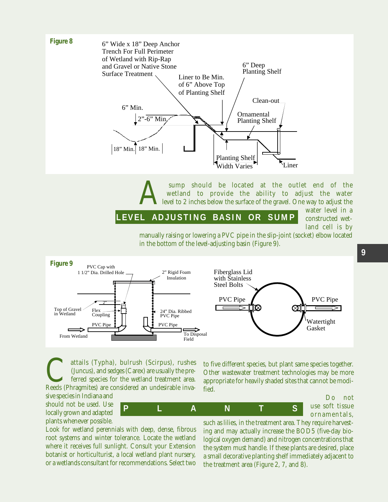

Sump should be located at the outlet end of the wetland to provide the ability to adjust the water level to 2 inches below the surface of the gravel. One way to adjust the vater level in a wetland to provide the ability to adjust the water level to 2 inches below the surface of the gravel. One way to adjust the

#### **LEVEL 0 ADJUSTING 0 BASIN 0 O R 0 SUMP**

water level in a constructed wetland cell is by

manually raising or lowering a PVC pipe in the slip-joint (socket) elbow located in the bottom of the level-adjusting basin (Figure 9).



**PLANTS**

attails (Typha), bulrush (Scirpus), rushes<br>
(Juncus), and sedges (Carex) are usually the pre-<br>
ferred species for the wetland treatment area.<br>
Reeds (Phragmites) are considered an undesirable inva-(Juncus), and sedges (Carex) are usually the preferred species for the wetland treatment area.

sive species in Indiana and should not be used. Use locally grown and adapted plants whenever possible.

Look for wetland perennials with deep, dense, fibrous root systems and winter tolerance. Locate the wetland where it receives full sunlight. Consult your Extension botanist or horticulturist, a local wetland plant nursery, or a wetlands consultant for recommendations. Select two

to five different species, but plant same species together. Other wastewater treatment technologies may be more appropriate for heavily shaded sites that cannot be modified.

> Do not use soft tissue ornamentals,

such as lilies, in the treatment area. They require harvesting and may actually increase the BOD5 (five-day biological oxygen demand) and nitrogen concentrations that the system must handle. If these plants are desired, place a small decorative planting shelf immediately adjacent to the treatment area (Figure 2, 7, and 8).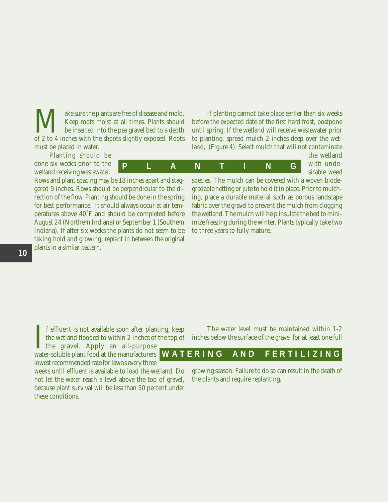Weep roots moist at all times. Plants should<br>be inserted into the pea gravel bed to a depth<br>of 2 to 4 inches with the shoots slightly exposed. Roots Keep roots moist at all times. Plants should be inserted into the pea gravel bed to a depth of 2 to 4 inches with the shoots slightly exposed. Roots must be placed in water.

Planting should be done six weeks prior to the wetland receiving wastewater.

Rows and plant spacing may be 18 inches apart and staggered 9 inches. Rows should be perpendicular to the direction of the flow. Planting should be done in the spring for best performance. It should always occur at air temperatures above 40˚F and should be completed before August 24 (Northern Indiana) or September 1 (Southern Indiana). If after six weeks the plants do not seem to be taking hold and growing, replant in between the original plants in a similar pattern.

If planting cannot take place earlier than six weeks before the expected date of the first hard frost, postpone until spring. If the wetland will receive wastewater prior to planting, spread mulch 2 inches deep over the wetland, (Figure 4). Select mulch that will not contaminate

**PLANTING**

the wetland with undesirable weed

species. The mulch can be covered with a woven biodegradable netting or jute to hold it in place. Prior to mulching, place a durable material such as porous landscape fabric over the gravel to prevent the mulch from clogging the wetland. The mulch will help insulate the bed to minimize freezing during the winter. Plants typically take two to three years to fully mature.

 $\prod_{\text{wate}}$ f effluent is not available soon after planting, keep the wetland flooded to within 2 inches of the top of the gravel. Apply an all-purpose

water-soluble plant food at the manufacturers lowest recommended rate for lawns every three

weeks until effluent is available to load the wetland. Do not let the water reach a level above the top of gravel, because plant survival will be less than 50 percent under these conditions.

The water level must be maintained within 1-2 inches below the surface of the gravel for at least one full

## **WATERING O AND O FERTILIZING**

growing season. Failure to do so can result in the death of the plants and require replanting.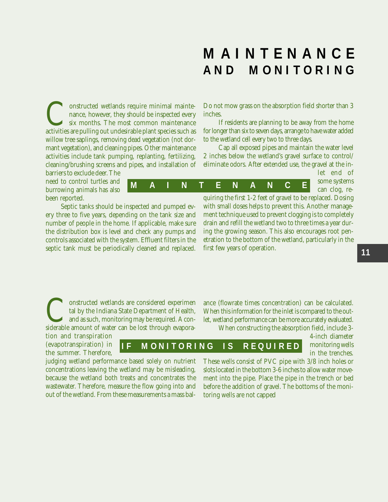## **MAINTENANCE AND O MONITORING**

onstructed wetlands require minimal maintenance, however, they should be inspected every six months. The most common maintenance activities are pulling out undesirable plant species such as willow tree saplings, removing dead vegetation (not dormant vegetation), and cleaning pipes. Other maintenance activities include tank pumping, replanting, fertilizing, cleaning/brushing screens and pipes, and installation of barriers to exclude deer. The

need to control turtles and burrowing animals has also been reported.

Septic tanks should be inspected and pumped every three to five years, depending on the tank size and number of people in the home. If applicable, make sure the distribution box is level and check any pumps and controls associated with the system. Effluent filters in the septic tank must be periodically cleaned and replaced.

Do not mow grass on the absorption field shorter than 3 inches.

If residents are planning to be away from the home for longer than six to seven days, arrange to have water added to the wetland cell every two to three days.

Cap all exposed pipes and maintain the water level 2 inches below the wetland's gravel surface to control/ eliminate odors. After extended use, the gravel at the in-

**MAINTENANCE**

**I F O MONITORING O I S O REQUIRED**

let end of some systems can clog, re-

quiring the first 1-2 feet of gravel to be replaced. Dosing with small doses helps to prevent this. Another management technique used to prevent clogging is to completely drain and refill the wetland two to three times a year during the growing season. This also encourages root penetration to the bottom of the wetland, particularly in the first few years of operation.

**Constructed wetlands are considered experiment tal by the Indiana State Department of Health, and as such, monitoring may be required. A considerable amount of water can be lost through evapora**tal by the Indiana State Department of Health, and as such, monitoring may be required. A considerable amount of water can be lost through evapora-

tion and transpiration (evapotranspiration) in the summer. Therefore,

judging wetland performance based solely on nutrient concentrations leaving the wetland may be misleading, because the wetland both treats and concentrates the wastewater. Therefore, measure the flow going into and out of the wetland. From these measurements a mass balance (flowrate times concentration) can be calculated. When this information for the inlet is compared to the outlet, wetland performance can be more accurately evaluated.

When constructing the absorption field, include 3-

4-inch diameter monitoring wells in the trenches.

These wells consist of PVC pipe with 3/8 inch holes or slots located in the bottom 3-6 inches to allow water movement into the pipe. Place the pipe in the trench or bed before the addition of gravel. The bottoms of the monitoring wells are not capped